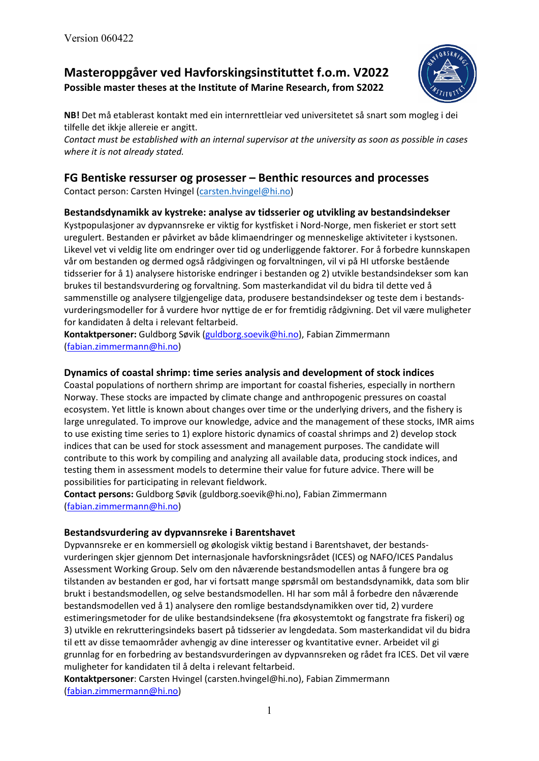# **Masteroppgåver ved Havforskingsinstituttet f.o.m. V2022 Possible master theses at the Institute of Marine Research, from S2022**



**NB!** Det må etablerast kontakt med ein internrettleiar ved universitetet så snart som mogleg i dei tilfelle det ikkje allereie er angitt.

*Contact must be established with an internal supervisor at the university as soon as possible in cases where it is not already stated.*

# **FG Bentiske ressurser og prosesser – Benthic resources and processes**

Contact person: Carsten Hvingel [\(carsten.hvingel@hi.no\)](mailto:carsten.hvingel@hi.no)

### **Bestandsdynamikk av kystreke: analyse av tidsserier og utvikling av bestandsindekser**

Kystpopulasjoner av dypvannsreke er viktig for kystfisket i Nord-Norge, men fiskeriet er stort sett uregulert. Bestanden er påvirket av både klimaendringer og menneskelige aktiviteter i kystsonen. Likevel vet vi veldig lite om endringer over tid og underliggende faktorer. For å forbedre kunnskapen vår om bestanden og dermed også rådgivingen og forvaltningen, vil vi på HI utforske bestående tidsserier for å 1) analysere historiske endringer i bestanden og 2) utvikle bestandsindekser som kan brukes til bestandsvurdering og forvaltning. Som masterkandidat vil du bidra til dette ved å sammenstille og analysere tilgjengelige data, produsere bestandsindekser og teste dem i bestandsvurderingsmodeller for å vurdere hvor nyttige de er for fremtidig rådgivning. Det vil være muligheter for kandidaten å delta i relevant feltarbeid.

**Kontaktpersoner:** Guldborg Søvik [\(guldborg.soevik@hi.no\)](mailto:guldborg.soevik@hi.no), Fabian Zimmermann [\(fabian.zimmermann@hi.no\)](mailto:fabian.zimmermann@hi.no)

### **Dynamics of coastal shrimp: time series analysis and development of stock indices**

Coastal populations of northern shrimp are important for coastal fisheries, especially in northern Norway. These stocks are impacted by climate change and anthropogenic pressures on coastal ecosystem. Yet little is known about changes over time or the underlying drivers, and the fishery is large unregulated. To improve our knowledge, advice and the management of these stocks, IMR aims to use existing time series to 1) explore historic dynamics of coastal shrimps and 2) develop stock indices that can be used for stock assessment and management purposes. The candidate will contribute to this work by compiling and analyzing all available data, producing stock indices, and testing them in assessment models to determine their value for future advice. There will be possibilities for participating in relevant fieldwork.

**Contact persons:** Guldborg Søvik (guldborg.soevik@hi.no), Fabian Zimmermann [\(fabian.zimmermann@hi.no\)](mailto:fabian.zimmermann@hi.no)

#### **Bestandsvurdering av dypvannsreke i Barentshavet**

Dypvannsreke er en kommersiell og økologisk viktig bestand i Barentshavet, der bestandsvurderingen skjer gjennom Det internasjonale havforskningsrådet (ICES) og NAFO/ICES Pandalus Assessment Working Group. Selv om den nåværende bestandsmodellen antas å fungere bra og tilstanden av bestanden er god, har vi fortsatt mange spørsmål om bestandsdynamikk, data som blir brukt i bestandsmodellen, og selve bestandsmodellen. HI har som mål å forbedre den nåværende bestandsmodellen ved å 1) analysere den romlige bestandsdynamikken over tid, 2) vurdere estimeringsmetoder for de ulike bestandsindeksene (fra økosystemtokt og fangstrate fra fiskeri) og 3) utvikle en rekrutteringsindeks basert på tidsserier av lengdedata. Som masterkandidat vil du bidra til ett av disse temaområder avhengig av dine interesser og kvantitative evner. Arbeidet vil gi grunnlag for en forbedring av bestandsvurderingen av dypvannsreken og rådet fra ICES. Det vil være muligheter for kandidaten til å delta i relevant feltarbeid.

**Kontaktpersoner**: Carsten Hvingel (carsten.hvingel@hi.no), Fabian Zimmermann [\(fabian.zimmermann@hi.no\)](mailto:fabian.zimmermann@hi.no)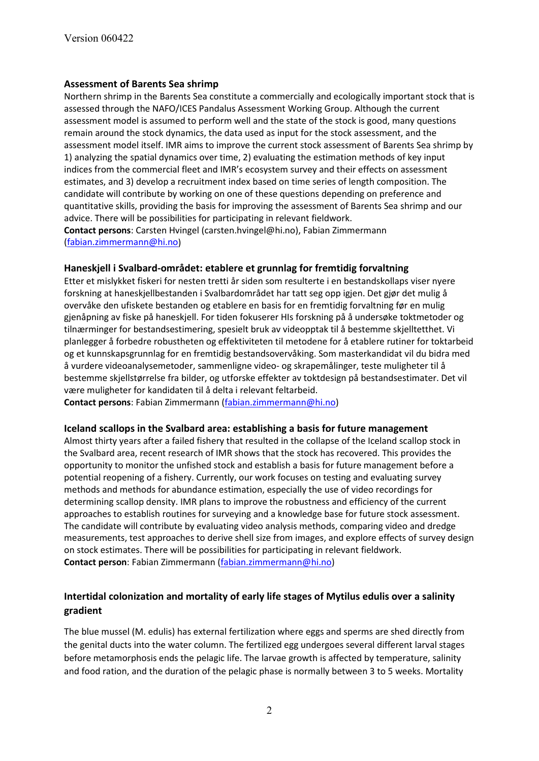#### **Assessment of Barents Sea shrimp**

Northern shrimp in the Barents Sea constitute a commercially and ecologically important stock that is assessed through the NAFO/ICES Pandalus Assessment Working Group. Although the current assessment model is assumed to perform well and the state of the stock is good, many questions remain around the stock dynamics, the data used as input for the stock assessment, and the assessment model itself. IMR aims to improve the current stock assessment of Barents Sea shrimp by 1) analyzing the spatial dynamics over time, 2) evaluating the estimation methods of key input indices from the commercial fleet and IMR's ecosystem survey and their effects on assessment estimates, and 3) develop a recruitment index based on time series of length composition. The candidate will contribute by working on one of these questions depending on preference and quantitative skills, providing the basis for improving the assessment of Barents Sea shrimp and our advice. There will be possibilities for participating in relevant fieldwork. **Contact persons**: Carsten Hvingel (carsten.hvingel@hi.no), Fabian Zimmermann [\(fabian.zimmermann@hi.no\)](mailto:fabian.zimmermann@hi.no)

#### **Haneskjell i Svalbard-området: etablere et grunnlag for fremtidig forvaltning**

Etter et mislykket fiskeri for nesten tretti år siden som resulterte i en bestandskollaps viser nyere forskning at haneskjellbestanden i Svalbardområdet har tatt seg opp igjen. Det gjør det mulig å overvåke den ufiskete bestanden og etablere en basis for en fremtidig forvaltning før en mulig gjenåpning av fiske på haneskjell. For tiden fokuserer HIs forskning på å undersøke toktmetoder og tilnærminger for bestandsestimering, spesielt bruk av videopptak til å bestemme skjelltetthet. Vi planlegger å forbedre robustheten og effektiviteten til metodene for å etablere rutiner for toktarbeid og et kunnskapsgrunnlag for en fremtidig bestandsovervåking. Som masterkandidat vil du bidra med å vurdere videoanalysemetoder, sammenligne video- og skrapemålinger, teste muligheter til å bestemme skjellstørrelse fra bilder, og utforske effekter av toktdesign på bestandsestimater. Det vil være muligheter for kandidaten til å delta i relevant feltarbeid.

**Contact persons**: Fabian Zimmermann [\(fabian.zimmermann@hi.no\)](mailto:fabian.zimmermann@hi.no)

#### **Iceland scallops in the Svalbard area: establishing a basis for future management**

Almost thirty years after a failed fishery that resulted in the collapse of the Iceland scallop stock in the Svalbard area, recent research of IMR shows that the stock has recovered. This provides the opportunity to monitor the unfished stock and establish a basis for future management before a potential reopening of a fishery. Currently, our work focuses on testing and evaluating survey methods and methods for abundance estimation, especially the use of video recordings for determining scallop density. IMR plans to improve the robustness and efficiency of the current approaches to establish routines for surveying and a knowledge base for future stock assessment. The candidate will contribute by evaluating video analysis methods, comparing video and dredge measurements, test approaches to derive shell size from images, and explore effects of survey design on stock estimates. There will be possibilities for participating in relevant fieldwork. **Contact person**: Fabian Zimmermann [\(fabian.zimmermann@hi.no\)](mailto:fabian.zimmermann@hi.no)

## **Intertidal colonization and mortality of early life stages of Mytilus edulis over a salinity gradient**

The blue mussel (M. edulis) has external fertilization where eggs and sperms are shed directly from the genital ducts into the water column. The fertilized egg undergoes several different larval stages before metamorphosis ends the pelagic life. The larvae growth is affected by temperature, salinity and food ration, and the duration of the pelagic phase is normally between 3 to 5 weeks. Mortality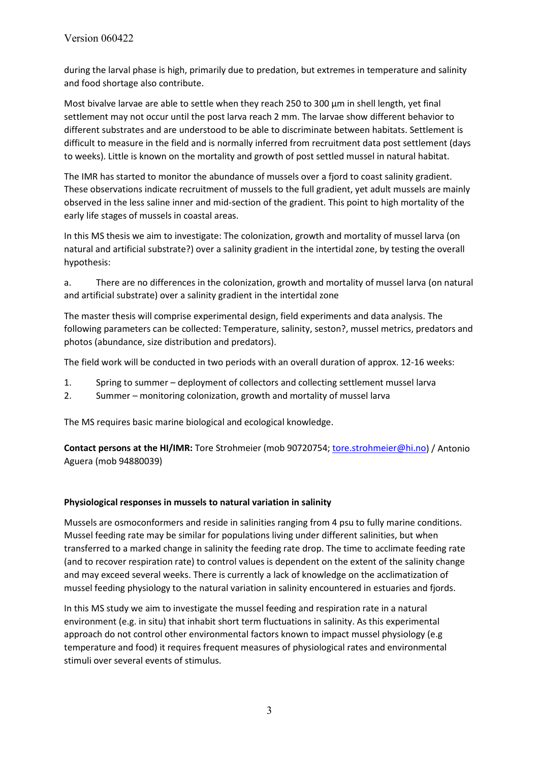during the larval phase is high, primarily due to predation, but extremes in temperature and salinity and food shortage also contribute.

Most bivalve larvae are able to settle when they reach 250 to 300  $\mu$ m in shell length, yet final settlement may not occur until the post larva reach 2 mm. The larvae show different behavior to different substrates and are understood to be able to discriminate between habitats. Settlement is difficult to measure in the field and is normally inferred from recruitment data post settlement (days to weeks). Little is known on the mortality and growth of post settled mussel in natural habitat.

The IMR has started to monitor the abundance of mussels over a fjord to coast salinity gradient. These observations indicate recruitment of mussels to the full gradient, yet adult mussels are mainly observed in the less saline inner and mid-section of the gradient. This point to high mortality of the early life stages of mussels in coastal areas.

In this MS thesis we aim to investigate: The colonization, growth and mortality of mussel larva (on natural and artificial substrate?) over a salinity gradient in the intertidal zone, by testing the overall hypothesis:

a. There are no differences in the colonization, growth and mortality of mussel larva (on natural and artificial substrate) over a salinity gradient in the intertidal zone

The master thesis will comprise experimental design, field experiments and data analysis. The following parameters can be collected: Temperature, salinity, seston?, mussel metrics, predators and photos (abundance, size distribution and predators).

The field work will be conducted in two periods with an overall duration of approx. 12-16 weeks:

- 1. Spring to summer deployment of collectors and collecting settlement mussel larva
- 2. Summer monitoring colonization, growth and mortality of mussel larva

The MS requires basic marine biological and ecological knowledge.

**Contact persons at the HI/IMR:** Tore Strohmeier (mob 90720754; [tore.strohmeier@hi.no\)](mailto:tore.strohmeier@hi.no) / Antonio Aguera (mob 94880039)

#### **Physiological responses in mussels to natural variation in salinity**

Mussels are osmoconformers and reside in salinities ranging from 4 psu to fully marine conditions. Mussel feeding rate may be similar for populations living under different salinities, but when transferred to a marked change in salinity the feeding rate drop. The time to acclimate feeding rate (and to recover respiration rate) to control values is dependent on the extent of the salinity change and may exceed several weeks. There is currently a lack of knowledge on the acclimatization of mussel feeding physiology to the natural variation in salinity encountered in estuaries and fjords.

In this MS study we aim to investigate the mussel feeding and respiration rate in a natural environment (e.g. in situ) that inhabit short term fluctuations in salinity. As this experimental approach do not control other environmental factors known to impact mussel physiology (e.g temperature and food) it requires frequent measures of physiological rates and environmental stimuli over several events of stimulus.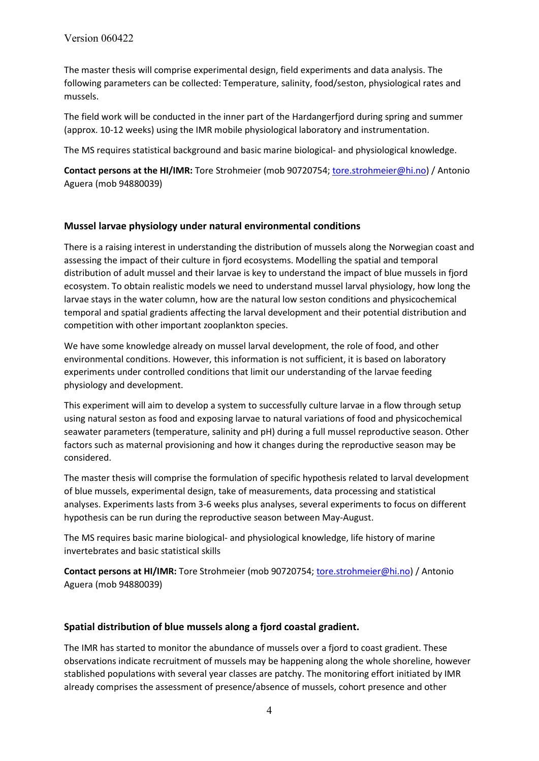The master thesis will comprise experimental design, field experiments and data analysis. The following parameters can be collected: Temperature, salinity, food/seston, physiological rates and mussels.

The field work will be conducted in the inner part of the Hardangerfjord during spring and summer (approx. 10-12 weeks) using the IMR mobile physiological laboratory and instrumentation.

The MS requires statistical background and basic marine biological- and physiological knowledge.

**Contact persons at the HI/IMR:** Tore Strohmeier (mob 90720754; [tore.strohmeier@hi.no\)](mailto:tore.strohmeier@hi.no) / Antonio Aguera (mob 94880039)

#### **Mussel larvae physiology under natural environmental conditions**

There is a raising interest in understanding the distribution of mussels along the Norwegian coast and assessing the impact of their culture in fjord ecosystems. Modelling the spatial and temporal distribution of adult mussel and their larvae is key to understand the impact of blue mussels in fjord ecosystem. To obtain realistic models we need to understand mussel larval physiology, how long the larvae stays in the water column, how are the natural low seston conditions and physicochemical temporal and spatial gradients affecting the larval development and their potential distribution and competition with other important zooplankton species.

We have some knowledge already on mussel larval development, the role of food, and other environmental conditions. However, this information is not sufficient, it is based on laboratory experiments under controlled conditions that limit our understanding of the larvae feeding physiology and development.

This experiment will aim to develop a system to successfully culture larvae in a flow through setup using natural seston as food and exposing larvae to natural variations of food and physicochemical seawater parameters (temperature, salinity and pH) during a full mussel reproductive season. Other factors such as maternal provisioning and how it changes during the reproductive season may be considered.

The master thesis will comprise the formulation of specific hypothesis related to larval development of blue mussels, experimental design, take of measurements, data processing and statistical analyses. Experiments lasts from 3-6 weeks plus analyses, several experiments to focus on different hypothesis can be run during the reproductive season between May-August.

The MS requires basic marine biological- and physiological knowledge, life history of marine invertebrates and basic statistical skills

**Contact persons at HI/IMR:** Tore Strohmeier (mob 90720754[; tore.strohmeier@hi.no\)](mailto:tore.strohmeier@hi.no) / Antonio Aguera (mob 94880039)

#### **Spatial distribution of blue mussels along a fjord coastal gradient.**

The IMR has started to monitor the abundance of mussels over a fjord to coast gradient. These observations indicate recruitment of mussels may be happening along the whole shoreline, however stablished populations with several year classes are patchy. The monitoring effort initiated by IMR already comprises the assessment of presence/absence of mussels, cohort presence and other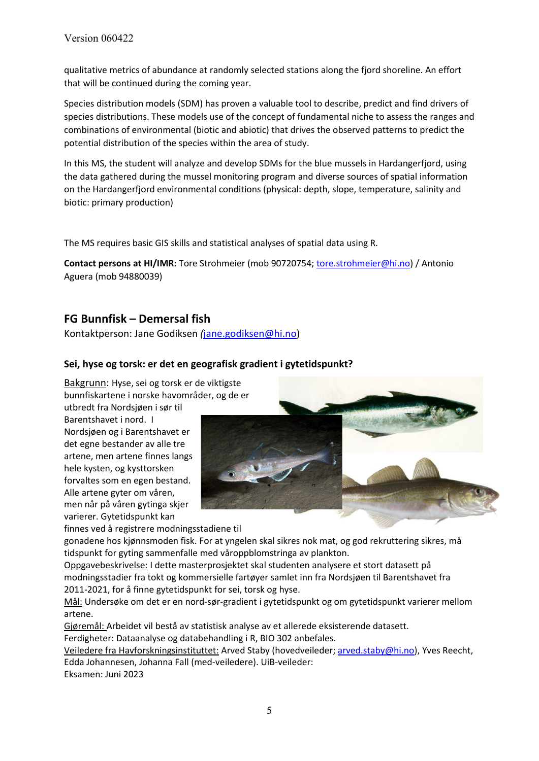qualitative metrics of abundance at randomly selected stations along the fjord shoreline. An effort that will be continued during the coming year.

Species distribution models (SDM) has proven a valuable tool to describe, predict and find drivers of species distributions. These models use of the concept of fundamental niche to assess the ranges and combinations of environmental (biotic and abiotic) that drives the observed patterns to predict the potential distribution of the species within the area of study.

In this MS, the student will analyze and develop SDMs for the blue mussels in Hardangerfjord, using the data gathered during the mussel monitoring program and diverse sources of spatial information on the Hardangerfjord environmental conditions (physical: depth, slope, temperature, salinity and biotic: primary production)

The MS requires basic GIS skills and statistical analyses of spatial data using R.

**Contact persons at HI/IMR:** Tore Strohmeier (mob 90720754[; tore.strohmeier@hi.no\)](mailto:tore.strohmeier@hi.no) / Antonio Aguera (mob 94880039)

# **FG Bunnfisk – Demersal fish**

Kontaktperson: Jane Godiksen *(*[jane.godiksen@hi.no\)](mailto:jane.godiksen@hi.no)

### **Sei, hyse og torsk: er det en geografisk gradient i gytetidspunkt?**

Bakgrunn: Hyse, sei og torsk er de viktigste bunnfiskartene i norske havområder, og de er

utbredt fra Nordsjøen i sør til Barentshavet i nord. I Nordsjøen og i Barentshavet er det egne bestander av alle tre artene, men artene finnes langs hele kysten, og kysttorsken forvaltes som en egen bestand. Alle artene gyter om våren, men når på våren gytinga skjer varierer. Gytetidspunkt kan



finnes ved å registrere modningsstadiene til

gonadene hos kjønnsmoden fisk. For at yngelen skal sikres nok mat, og god rekruttering sikres, må tidspunkt for gyting sammenfalle med våroppblomstringa av plankton.

Oppgavebeskrivelse: I dette masterprosjektet skal studenten analysere et stort datasett på modningsstadier fra tokt og kommersielle fartøyer samlet inn fra Nordsjøen til Barentshavet fra 2011-2021, for å finne gytetidspunkt for sei, torsk og hyse.

Mål: Undersøke om det er en nord-sør-gradient i gytetidspunkt og om gytetidspunkt varierer mellom artene.

Gjøremål: Arbeidet vil bestå av statistisk analyse av et allerede eksisterende datasett.

Ferdigheter: Dataanalyse og databehandling i R, BIO 302 anbefales.

Veiledere fra Havforskningsinstituttet: Arved Staby (hovedveileder; [arved.staby@hi.no\)](mailto:arved.staby@hi.no), Yves Reecht, Edda Johannesen, Johanna Fall (med-veiledere). UiB-veileder:

Eksamen: Juni 2023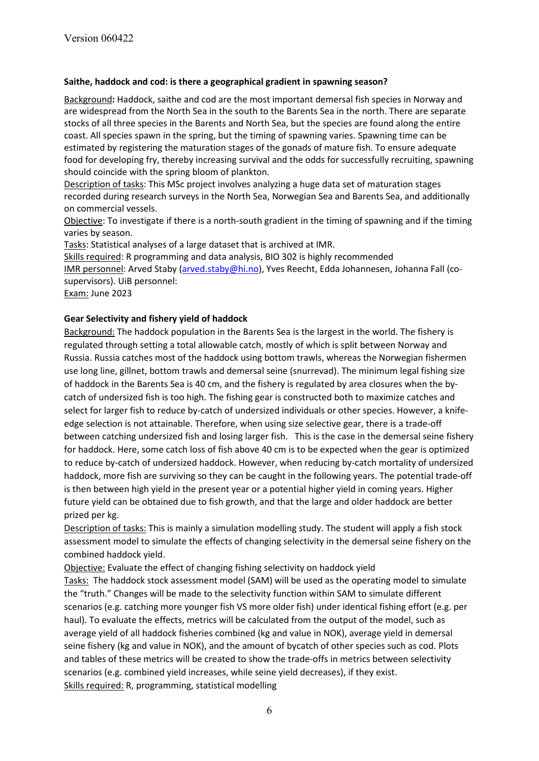#### **Saithe, haddock and cod: is there a geographical gradient in spawning season?**

Background**:** Haddock, saithe and cod are the most important demersal fish species in Norway and are widespread from the North Sea in the south to the Barents Sea in the north. There are separate stocks of all three species in the Barents and North Sea, but the species are found along the entire coast. All species spawn in the spring, but the timing of spawning varies. Spawning time can be estimated by registering the maturation stages of the gonads of mature fish. To ensure adequate food for developing fry, thereby increasing survival and the odds for successfully recruiting, spawning should coincide with the spring bloom of plankton.

Description of tasks: This MSc project involves analyzing a huge data set of maturation stages recorded during research surveys in the North Sea, Norwegian Sea and Barents Sea, and additionally on commercial vessels.

Objective: To investigate if there is a north-south gradient in the timing of spawning and if the timing varies by season.

Tasks: Statistical analyses of a large dataset that is archived at IMR.

Skills required: R programming and data analysis, BIO 302 is highly recommended IMR personnel: Arved Staby [\(arved.staby@hi.no\)](mailto:arved.staby@hi.no), Yves Reecht, Edda Johannesen, Johanna Fall (cosupervisors). UiB personnel:

Exam: June 2023

#### **Gear Selectivity and fishery yield of haddock**

Background: The haddock population in the Barents Sea is the largest in the world. The fishery is regulated through setting a total allowable catch, mostly of which is split between Norway and Russia. Russia catches most of the haddock using bottom trawls, whereas the Norwegian fishermen use long line, gillnet, bottom trawls and demersal seine (snurrevad). The minimum legal fishing size of haddock in the Barents Sea is 40 cm, and the fishery is regulated by area closures when the bycatch of undersized fish is too high. The fishing gear is constructed both to maximize catches and select for larger fish to reduce by-catch of undersized individuals or other species. However, a knifeedge selection is not attainable. Therefore, when using size selective gear, there is a trade-off between catching undersized fish and losing larger fish. This is the case in the demersal seine fishery for haddock. Here, some catch loss of fish above 40 cm is to be expected when the gear is optimized to reduce by-catch of undersized haddock. However, when reducing by-catch mortality of undersized haddock, more fish are surviving so they can be caught in the following years. The potential trade-off is then between high yield in the present year or a potential higher yield in coming years. Higher future yield can be obtained due to fish growth, and that the large and older haddock are better prized per kg.

Description of tasks: This is mainly a simulation modelling study. The student will apply a fish stock assessment model to simulate the effects of changing selectivity in the demersal seine fishery on the combined haddock yield.

Objective: Evaluate the effect of changing fishing selectivity on haddock yield

Tasks: The haddock stock assessment model (SAM) will be used as the operating model to simulate the "truth." Changes will be made to the selectivity function within SAM to simulate different scenarios (e.g. catching more younger fish VS more older fish) under identical fishing effort (e.g. per haul). To evaluate the effects, metrics will be calculated from the output of the model, such as average yield of all haddock fisheries combined (kg and value in NOK), average yield in demersal seine fishery (kg and value in NOK), and the amount of bycatch of other species such as cod. Plots and tables of these metrics will be created to show the trade-offs in metrics between selectivity scenarios (e.g. combined yield increases, while seine yield decreases), if they exist. Skills required: R, programming, statistical modelling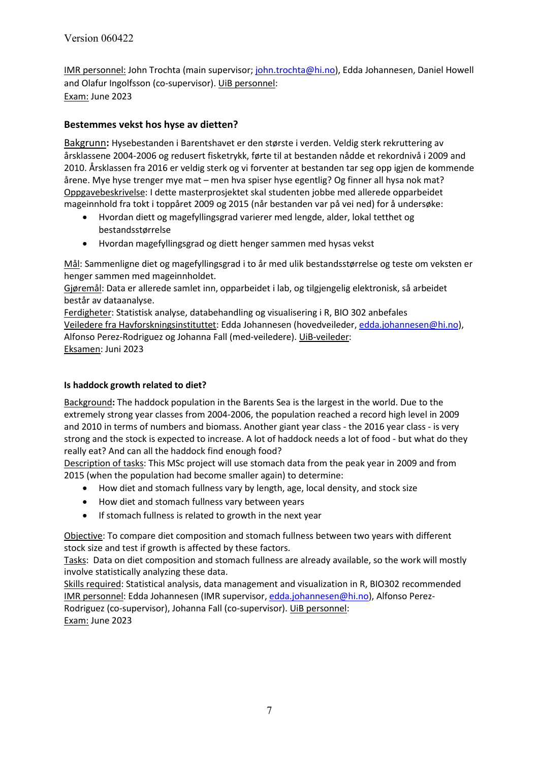IMR personnel: John Trochta (main supervisor; [john.trochta@hi.no\)](mailto:john.trochta@hi.no), Edda Johannesen, Daniel Howell and Olafur Ingolfsson (co-supervisor). UiB personnel: Exam: June 2023

## **Bestemmes vekst hos hyse av dietten?**

Bakgrunn**:** Hysebestanden i Barentshavet er den største i verden. Veldig sterk rekruttering av årsklassene 2004-2006 og redusert fisketrykk, førte til at bestanden nådde et rekordnivå i 2009 and 2010. Årsklassen fra 2016 er veldig sterk og vi forventer at bestanden tar seg opp igjen de kommende årene. Mye hyse trenger mye mat – men hva spiser hyse egentlig? Og finner all hysa nok mat? Oppgavebeskrivelse: I dette masterprosjektet skal studenten jobbe med allerede opparbeidet mageinnhold fra tokt i toppåret 2009 og 2015 (når bestanden var på vei ned) for å undersøke:

- Hvordan diett og magefyllingsgrad varierer med lengde, alder, lokal tetthet og bestandsstørrelse
- Hvordan magefyllingsgrad og diett henger sammen med hysas vekst

Mål: Sammenligne diet og magefyllingsgrad i to år med ulik bestandsstørrelse og teste om veksten er henger sammen med mageinnholdet.

Gjøremål: Data er allerede samlet inn, opparbeidet i lab, og tilgjengelig elektronisk, så arbeidet består av dataanalyse.

Ferdigheter: Statistisk analyse, databehandling og visualisering i R, BIO 302 anbefales Veiledere fra Havforskningsinstituttet: Edda Johannesen (hovedveileder, [edda.johannesen@hi.no\)](mailto:edda.johannesen@hi.no), Alfonso Perez-Rodriguez og Johanna Fall (med-veiledere). UiB-veileder: Eksamen: Juni 2023

#### **Is haddock growth related to diet?**

Background**:** The haddock population in the Barents Sea is the largest in the world. Due to the extremely strong year classes from 2004-2006, the population reached a record high level in 2009 and 2010 in terms of numbers and biomass. Another giant year class - the 2016 year class - is very strong and the stock is expected to increase. A lot of haddock needs a lot of food - but what do they really eat? And can all the haddock find enough food?

Description of tasks: This MSc project will use stomach data from the peak year in 2009 and from 2015 (when the population had become smaller again) to determine:

- How diet and stomach fullness vary by length, age, local density, and stock size
- How diet and stomach fullness vary between years
- If stomach fullness is related to growth in the next year

Objective: To compare diet composition and stomach fullness between two years with different stock size and test if growth is affected by these factors.

Tasks: Data on diet composition and stomach fullness are already available, so the work will mostly involve statistically analyzing these data.

Skills required: Statistical analysis, data management and visualization in R, BIO302 recommended IMR personnel: Edda Johannesen (IMR supervisor[, edda.johannesen@hi.no\)](mailto:edda.johannesen@hi.no), Alfonso Perez-Rodriguez (co-supervisor), Johanna Fall (co-supervisor). UiB personnel: Exam: June 2023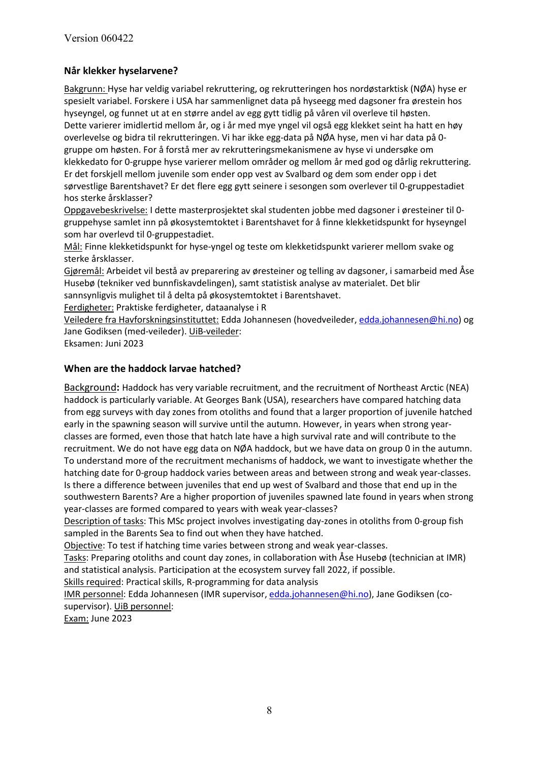## **Når klekker hyselarvene?**

Bakgrunn: Hyse har veldig variabel rekruttering, og rekrutteringen hos nordøstarktisk (NØA) hyse er spesielt variabel. Forskere i USA har sammenlignet data på hyseegg med dagsoner fra ørestein hos hyseyngel, og funnet ut at en større andel av egg gytt tidlig på våren vil overleve til høsten. Dette varierer imidlertid mellom år, og i år med mye yngel vil også egg klekket seint ha hatt en høy overlevelse og bidra til rekrutteringen. Vi har ikke egg-data på NØA hyse, men vi har data på 0 gruppe om høsten. For å forstå mer av rekrutteringsmekanismene av hyse vi undersøke om klekkedato for 0-gruppe hyse varierer mellom områder og mellom år med god og dårlig rekruttering. Er det forskjell mellom juvenile som ender opp vest av Svalbard og dem som ender opp i det sørvestlige Barentshavet? Er det flere egg gytt seinere i sesongen som overlever til 0-gruppestadiet hos sterke årsklasser?

Oppgavebeskrivelse: I dette masterprosjektet skal studenten jobbe med dagsoner i øresteiner til 0 gruppehyse samlet inn på økosystemtoktet i Barentshavet for å finne klekketidspunkt for hyseyngel som har overlevd til 0-gruppestadiet.

Mål: Finne klekketidspunkt for hyse-yngel og teste om klekketidspunkt varierer mellom svake og sterke årsklasser.

Gjøremål: Arbeidet vil bestå av preparering av øresteiner og telling av dagsoner, i samarbeid med Åse Husebø (tekniker ved bunnfiskavdelingen), samt statistisk analyse av materialet. Det blir

sannsynligvis mulighet til å delta på økosystemtoktet i Barentshavet.

Ferdigheter: Praktiske ferdigheter, dataanalyse i R

Veiledere fra Havforskningsinstituttet: Edda Johannesen (hovedveileder, [edda.johannesen@hi.no\)](mailto:edda.johannesen@hi.no) og Jane Godiksen (med-veileder). UiB-veileder:

Eksamen: Juni 2023

#### **When are the haddock larvae hatched?**

Background**:** Haddock has very variable recruitment, and the recruitment of Northeast Arctic (NEA) haddock is particularly variable. At Georges Bank (USA), researchers have compared hatching data from egg surveys with day zones from otoliths and found that a larger proportion of juvenile hatched early in the spawning season will survive until the autumn. However, in years when strong yearclasses are formed, even those that hatch late have a high survival rate and will contribute to the recruitment. We do not have egg data on NØA haddock, but we have data on group 0 in the autumn. To understand more of the recruitment mechanisms of haddock, we want to investigate whether the hatching date for 0-group haddock varies between areas and between strong and weak year-classes. Is there a difference between juveniles that end up west of Svalbard and those that end up in the southwestern Barents? Are a higher proportion of juveniles spawned late found in years when strong year-classes are formed compared to years with weak year-classes?

Description of tasks: This MSc project involves investigating day-zones in otoliths from 0-group fish sampled in the Barents Sea to find out when they have hatched.

Objective: To test if hatching time varies between strong and weak year-classes.

Tasks: Preparing otoliths and count day zones, in collaboration with Åse Husebø (technician at IMR) and statistical analysis. Participation at the ecosystem survey fall 2022, if possible.

Skills required: Practical skills, R-programming for data analysis

IMR personnel: Edda Johannesen (IMR supervisor[, edda.johannesen@hi.no\)](mailto:edda.johannesen@hi.no), Jane Godiksen (cosupervisor). UiB personnel:

Exam: June 2023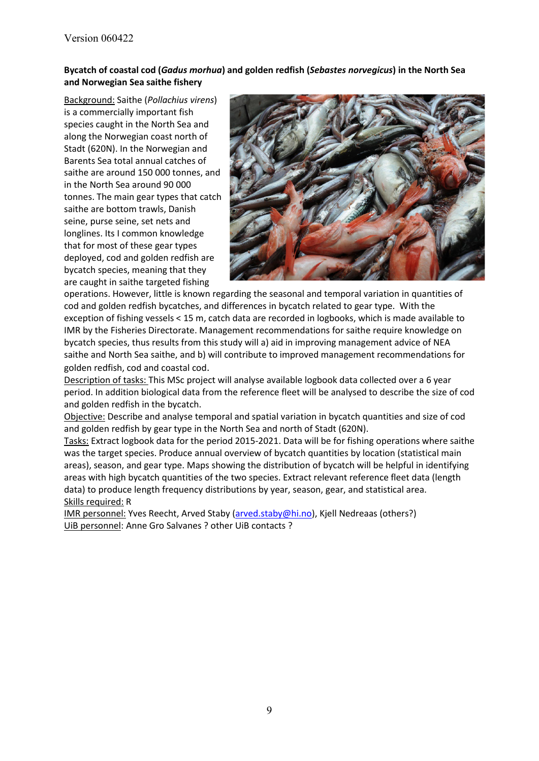### **Bycatch of coastal cod (***Gadus morhua***) and golden redfish (***Sebastes norvegicus***) in the North Sea and Norwegian Sea saithe fishery**

Background: Saithe (*Pollachius virens*) is a commercially important fish species caught in the North Sea and along the Norwegian coast north of Stadt (620N). In the Norwegian and Barents Sea total annual catches of saithe are around 150 000 tonnes, and in the North Sea around 90 000 tonnes. The main gear types that catch saithe are bottom trawls, Danish seine, purse seine, set nets and longlines. Its I common knowledge that for most of these gear types deployed, cod and golden redfish are bycatch species, meaning that they are caught in saithe targeted fishing



operations. However, little is known regarding the seasonal and temporal variation in quantities of cod and golden redfish bycatches, and differences in bycatch related to gear type. With the exception of fishing vessels < 15 m, catch data are recorded in logbooks, which is made available to IMR by the Fisheries Directorate. Management recommendations for saithe require knowledge on bycatch species, thus results from this study will a) aid in improving management advice of NEA saithe and North Sea saithe, and b) will contribute to improved management recommendations for golden redfish, cod and coastal cod.

Description of tasks: This MSc project will analyse available logbook data collected over a 6 year period. In addition biological data from the reference fleet will be analysed to describe the size of cod and golden redfish in the bycatch.

Objective: Describe and analyse temporal and spatial variation in bycatch quantities and size of cod and golden redfish by gear type in the North Sea and north of Stadt (620N).

Tasks: Extract logbook data for the period 2015-2021. Data will be for fishing operations where saithe was the target species. Produce annual overview of bycatch quantities by location (statistical main areas), season, and gear type. Maps showing the distribution of bycatch will be helpful in identifying areas with high bycatch quantities of the two species. Extract relevant reference fleet data (length data) to produce length frequency distributions by year, season, gear, and statistical area. Skills required: R

IMR personnel: Yves Reecht, Arved Staby [\(arved.staby@hi.no\)](mailto:arved.staby@hi.no), Kjell Nedreaas (others?) UiB personnel: Anne Gro Salvanes ? other UiB contacts ?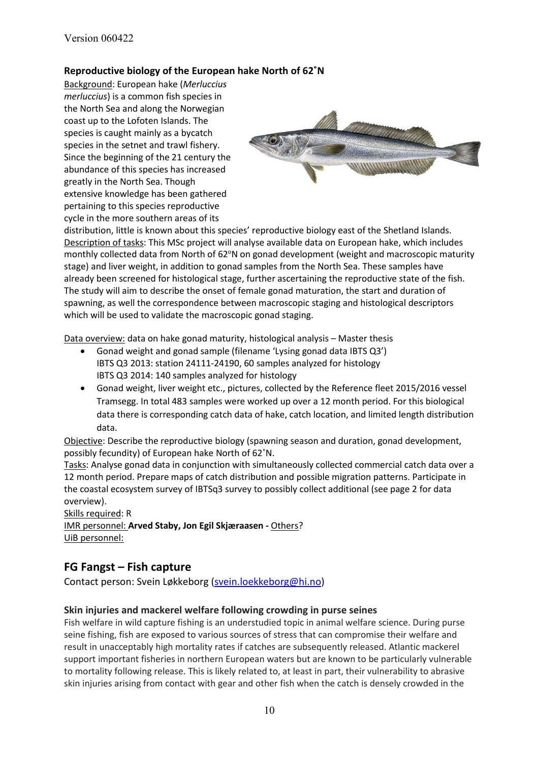### **Reproductive biology of the European hake North of 62˚N**

Background: European hake (*Merluccius merluccius*) is a common fish species in the North Sea and along the Norwegian coast up to the Lofoten Islands. The species is caught mainly as a bycatch species in the setnet and trawl fishery. Since the beginning of the 21 century the abundance of this species has increased greatly in the North Sea. Though extensive knowledge has been gathered pertaining to this species reproductive cycle in the more southern areas of its



distribution, little is known about this species' reproductive biology east of the Shetland Islands. Description of tasks: This MSc project will analyse available data on European hake, which includes monthly collected data from North of 62°N on gonad development (weight and macroscopic maturity stage) and liver weight, in addition to gonad samples from the North Sea. These samples have already been screened for histological stage, further ascertaining the reproductive state of the fish. The study will aim to describe the onset of female gonad maturation, the start and duration of spawning, as well the correspondence between macroscopic staging and histological descriptors which will be used to validate the macroscopic gonad staging.

Data overview: data on hake gonad maturity, histological analysis - Master thesis

- Gonad weight and gonad sample (filename 'Lysing gonad data IBTS Q3') IBTS Q3 2013: station 24111-24190, 60 samples analyzed for histology IBTS Q3 2014: 140 samples analyzed for histology
- Gonad weight, liver weight etc., pictures, collected by the Reference fleet 2015/2016 vessel Tramsegg. In total 483 samples were worked up over a 12 month period. For this biological data there is corresponding catch data of hake, catch location, and limited length distribution data.

Objective: Describe the reproductive biology (spawning season and duration, gonad development, possibly fecundity) of European hake North of 62˚N.

Tasks: Analyse gonad data in conjunction with simultaneously collected commercial catch data over a 12 month period. Prepare maps of catch distribution and possible migration patterns. Participate in the coastal ecosystem survey of IBTSq3 survey to possibly collect additional (see page 2 for data overview).

Skills required: R IMR personnel: **Arved Staby, Jon Egil Skjæraasen -** Others? UiB personnel:

# **FG Fangst – Fish capture**

Contact person: Svein Løkkeborg [\(svein.loekkeborg@hi.no\)](mailto:svein.loekkeborg@hi.no)

## **Skin injuries and mackerel welfare following crowding in purse seines**

Fish welfare in wild capture fishing is an understudied topic in animal welfare science. During purse seine fishing, fish are exposed to various sources of stress that can compromise their welfare and result in unacceptably high mortality rates if catches are subsequently released. Atlantic mackerel support important fisheries in northern European waters but are known to be particularly vulnerable to mortality following release. This is likely related to, at least in part, their vulnerability to abrasive skin injuries arising from contact with gear and other fish when the catch is densely crowded in the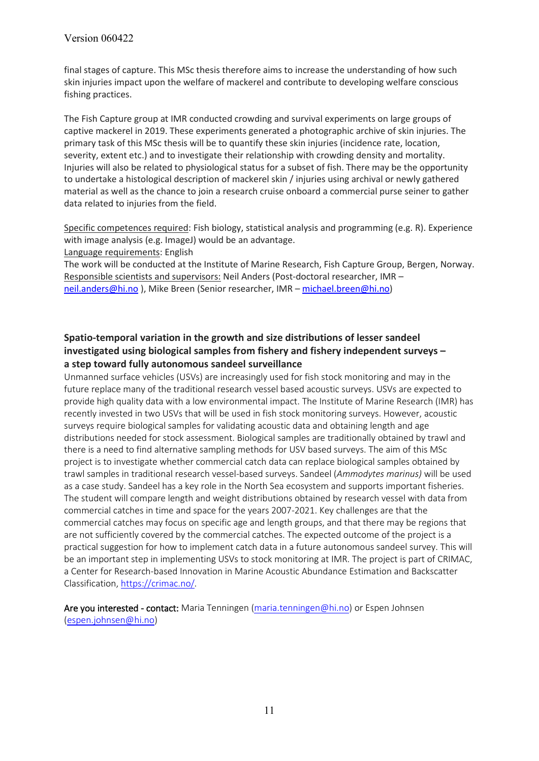final stages of capture. This MSc thesis therefore aims to increase the understanding of how such skin injuries impact upon the welfare of mackerel and contribute to developing welfare conscious fishing practices.

The Fish Capture group at IMR conducted crowding and survival experiments on large groups of captive mackerel in 2019. These experiments generated a photographic archive of skin injuries. The primary task of this MSc thesis will be to quantify these skin injuries (incidence rate, location, severity, extent etc.) and to investigate their relationship with crowding density and mortality. Injuries will also be related to physiological status for a subset of fish. There may be the opportunity to undertake a histological description of mackerel skin / injuries using archival or newly gathered material as well as the chance to join a research cruise onboard a commercial purse seiner to gather data related to injuries from the field.

Specific competences required: Fish biology, statistical analysis and programming (e.g. R). Experience with image analysis (e.g. ImageJ) would be an advantage. Language requirements: English

The work will be conducted at the Institute of Marine Research, Fish Capture Group, Bergen, Norway. Responsible scientists and supervisors: Neil Anders (Post-doctoral researcher, IMR – [neil.anders@hi.no](mailto:neil.anders@hi.no) ), Mike Breen (Senior researcher, IMR – [michael.breen@hi.no\)](mailto:michael.breen@hi.no)

## **Spatio-temporal variation in the growth and size distributions of lesser sandeel investigated using biological samples from fishery and fishery independent surveys – a step toward fully autonomous sandeel surveillance**

Unmanned surface vehicles (USVs) are increasingly used for fish stock monitoring and may in the future replace many of the traditional research vessel based acoustic surveys. USVs are expected to provide high quality data with a low environmental impact. The Institute of Marine Research (IMR) has recently invested in two USVs that will be used in fish stock monitoring surveys. However, acoustic surveys require biological samples for validating acoustic data and obtaining length and age distributions needed for stock assessment. Biological samples are traditionally obtained by trawl and there is a need to find alternative sampling methods for USV based surveys. The aim of this MSc project is to investigate whether commercial catch data can replace biological samples obtained by trawl samples in traditional research vessel-based surveys. Sandeel (*Ammodytes marinus)* will be used as a case study. Sandeel has a key role in the North Sea ecosystem and supports important fisheries. The student will compare length and weight distributions obtained by research vessel with data from commercial catches in time and space for the years 2007-2021. Key challenges are that the commercial catches may focus on specific age and length groups, and that there may be regions that are not sufficiently covered by the commercial catches. The expected outcome of the project is a practical suggestion for how to implement catch data in a future autonomous sandeel survey. This will be an important step in implementing USVs to stock monitoring at IMR. The project is part of CRIMAC, a Center for Research-based Innovation in Marine Acoustic Abundance Estimation and Backscatter Classification[, https://crimac.no/.](https://crimac.no/)

Are you interested - contact: Maria Tenningen [\(maria.tenningen@hi.no\)](mailto:maria.tenningen@hi.no) or Espen Johnsen [\(espen.johnsen@hi.no\)](mailto:espen.johnsen@hi.no)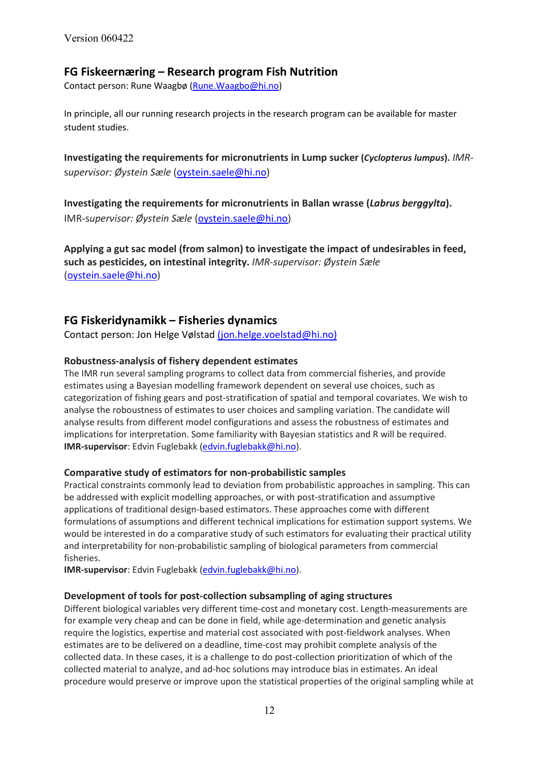# **FG Fiskeernæring – Research program Fish Nutrition**

Contact person: Rune Waagbø [\(Rune.Waagbo@hi.no\)](mailto:Rune.Waagbo@hi.no)

In principle, all our running research projects in the research program can be available for master student studies.

**Investigating the requirements for micronutrients in Lump sucker (***Cyclopterus lumpus***).** *IMR*s*upervisor: Øystein Sæle* [\(oystein.saele@hi.no\)](mailto:oystein.saele@hi.no)

**Investigating the requirements for micronutrients in Ballan wrasse (***Labrus berggylta***).** IMR-s*upervisor: Øystein Sæle* [\(oystein.saele@hi.no\)](mailto:oystein.saele@hi.no)

**Applying a gut sac model (from salmon) to investigate the impact of undesirables in feed, such as pesticides, on intestinal integrity.** *IMR-supervisor: Øystein Sæle* [\(oystein.saele@hi.no\)](mailto:oystein.saele@hi.no)

## **FG Fiskeridynamikk – Fisheries dynamics**

Contact person: Jon Helge Vølstad (jon.helge.voelstad@hi.no)

### **Robustness-analysis of fishery dependent estimates**

The IMR run several sampling programs to collect data from commercial fisheries, and provide estimates using a Bayesian modelling framework dependent on several use choices, such as categorization of fishing gears and post-stratification of spatial and temporal covariates. We wish to analyse the roboustness of estimates to user choices and sampling variation. The candidate will analyse results from different model configurations and assess the robustness of estimates and implications for interpretation. Some familiarity with Bayesian statistics and R will be required. **IMR-supervisor**: Edvin Fuglebakk [\(edvin.fuglebakk@hi.no\)](mailto:edvin.fuglebakk@hi.no).

#### **Comparative study of estimators for non-probabilistic samples**

Practical constraints commonly lead to deviation from probabilistic approaches in sampling. This can be addressed with explicit modelling approaches, or with post-stratification and assumptive applications of traditional design-based estimators. These approaches come with different formulations of assumptions and different technical implications for estimation support systems. We would be interested in do a comparative study of such estimators for evaluating their practical utility and interpretability for non-probabilistic sampling of biological parameters from commercial fisheries.

**IMR-supervisor**: Edvin Fuglebakk [\(edvin.fuglebakk@hi.no\)](mailto:edvin.fuglebakk@hi.no).

#### **Development of tools for post-collection subsampling of aging structures**

Different biological variables very different time-cost and monetary cost. Length-measurements are for example very cheap and can be done in field, while age-determination and genetic analysis require the logistics, expertise and material cost associated with post-fieldwork analyses. When estimates are to be delivered on a deadline, time-cost may prohibit complete analysis of the collected data. In these cases, it is a challenge to do post-collection prioritization of which of the collected material to analyze, and ad-hoc solutions may introduce bias in estimates. An ideal procedure would preserve or improve upon the statistical properties of the original sampling while at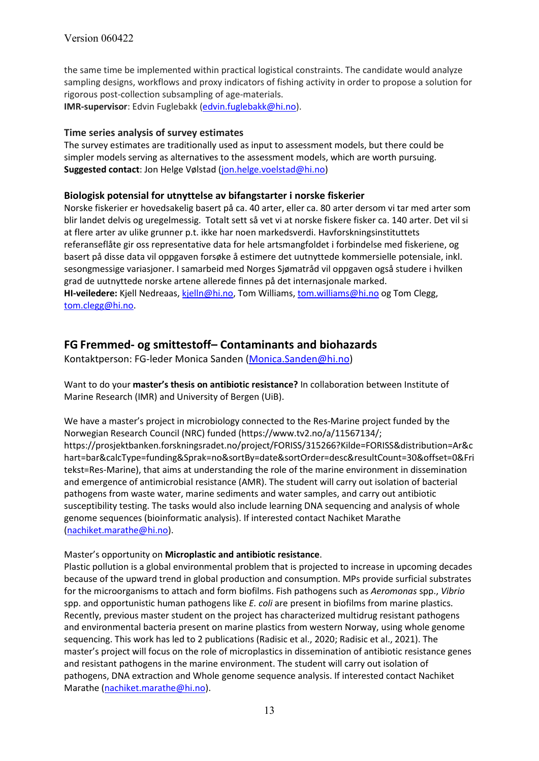the same time be implemented within practical logistical constraints. The candidate would analyze sampling designs, workflows and proxy indicators of fishing activity in order to propose a solution for rigorous post-collection subsampling of age-materials. **IMR-supervisor**: Edvin Fuglebakk [\(edvin.fuglebakk@hi.no\)](mailto:edvin.fuglebakk@hi.no).

#### **Time series analysis of survey estimates**

The survey estimates are traditionally used as input to assessment models, but there could be simpler models serving as alternatives to the assessment models, which are worth pursuing. **Suggested contact**: Jon Helge Vølstad [\(jon.helge.voelstad@hi.no\)](mailto:jon.helge.voelstad@hi.no)

### **Biologisk potensial for utnyttelse av bifangstarter i norske fiskerier**

Norske fiskerier er hovedsakelig basert på ca. 40 arter, eller ca. 80 arter dersom vi tar med arter som blir landet delvis og uregelmessig. Totalt sett så vet vi at norske fiskere fisker ca. 140 arter. Det vil si at flere arter av ulike grunner p.t. ikke har noen markedsverdi. Havforskningsinstituttets referanseflåte gir oss representative data for hele artsmangfoldet i forbindelse med fiskeriene, og basert på disse data vil oppgaven forsøke å estimere det uutnyttede kommersielle potensiale, inkl. sesongmessige variasjoner. I samarbeid med Norges Sjømatråd vil oppgaven også studere i hvilken grad de uutnyttede norske artene allerede finnes på det internasjonale marked. **HI-veiledere:** Kjell Nedreaas, [kjelln@hi.no,](mailto:kjelln@hi.no) Tom Williams, [tom.williams@hi.no](mailto:tom.williams@hi.no) og Tom Clegg, [tom.clegg@hi.no.](mailto:tom.clegg@hi.no)

# **FG Fremmed- og smittestoff– Contaminants and biohazards**

Kontaktperson: FG-leder Monica Sanden [\(Monica.Sanden@hi.no\)](mailto:Monica.Sanden@hi.no)

Want to do your **master's thesis on antibiotic resistance?** In collaboration between Institute of Marine Research (IMR) and University of Bergen (UiB).

We have a master's project in microbiology connected to the Res-Marine project funded by the Norwegian Research Council (NRC) funded (https://www.tv2.no/a/11567134/; https://prosjektbanken.forskningsradet.no/project/FORISS/315266?Kilde=FORISS&distribution=Ar&c hart=bar&calcType=funding&Sprak=no&sortBy=date&sortOrder=desc&resultCount=30&offset=0&Fri tekst=Res-Marine), that aims at understanding the role of the marine environment in dissemination and emergence of antimicrobial resistance (AMR). The student will carry out isolation of bacterial pathogens from waste water, marine sediments and water samples, and carry out antibiotic susceptibility testing. The tasks would also include learning DNA sequencing and analysis of whole genome sequences (bioinformatic analysis). If interested contact Nachiket Marathe [\(nachiket.marathe@hi.no\)](mailto:nachiket.marathe@hi.no).

#### Master's opportunity on **Microplastic and antibiotic resistance**.

Plastic pollution is a global environmental problem that is projected to increase in upcoming decades because of the upward trend in global production and consumption. MPs provide surficial substrates for the microorganisms to attach and form biofilms. Fish pathogens such as *Aeromonas* spp., *Vibrio* spp. and opportunistic human pathogens like *E. coli* are present in biofilms from marine plastics. Recently, previous master student on the project has characterized multidrug resistant pathogens and environmental bacteria present on marine plastics from western Norway, using whole genome sequencing. This work has led to 2 publications (Radisic et al., 2020; Radisic et al., 2021). The master's project will focus on the role of microplastics in dissemination of antibiotic resistance genes and resistant pathogens in the marine environment. The student will carry out isolation of pathogens, DNA extraction and Whole genome sequence analysis. If interested contact Nachiket Marathe [\(nachiket.marathe@hi.no\)](mailto:nachiket.marathe@hi.no).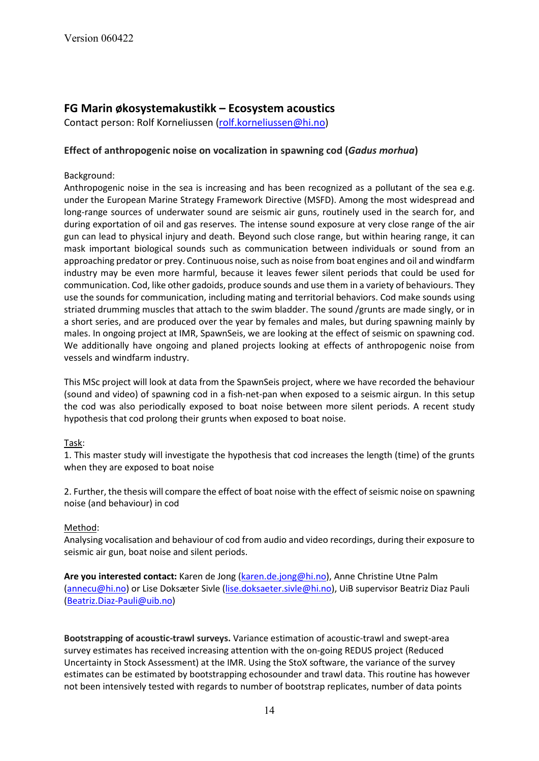# **FG Marin økosystemakustikk – Ecosystem acoustics**

Contact person: Rolf Korneliussen [\(rolf.korneliussen@hi.no\)](mailto:rolf.korneliussen@hi.no)

#### **Effect of anthropogenic noise on vocalization in spawning cod (***Gadus morhua***)**

#### Background:

Anthropogenic noise in the sea is increasing and has been recognized as a pollutant of the sea e.g. under the European Marine Strategy Framework Directive (MSFD). Among the most widespread and long-range sources of underwater sound are seismic air guns, routinely used in the search for, and during exportation of oil and gas reserves. The intense sound exposure at very close range of the air gun can lead to physical injury and death. Beyond such close range, but within hearing range, it can mask important biological sounds such as communication between individuals or sound from an approaching predator or prey. Continuous noise, such as noise from boat engines and oil and windfarm industry may be even more harmful, because it leaves fewer silent periods that could be used for communication. Cod, like other gadoids, produce sounds and use them in a variety of behaviours. They use the sounds for communication, including mating and territorial behaviors. Cod make sounds using striated drumming muscles that attach to the swim bladder. The sound /grunts are made singly, or in a short series, and are produced over the year by females and males, but during spawning mainly by males. In ongoing project at IMR, SpawnSeis, we are looking at the effect of seismic on spawning cod. We additionally have ongoing and planed projects looking at effects of anthropogenic noise from vessels and windfarm industry.

This MSc project will look at data from the SpawnSeis project, where we have recorded the behaviour (sound and video) of spawning cod in a fish-net-pan when exposed to a seismic airgun. In this setup the cod was also periodically exposed to boat noise between more silent periods. A recent study hypothesis that cod prolong their grunts when exposed to boat noise.

#### Task:

1. This master study will investigate the hypothesis that cod increases the length (time) of the grunts when they are exposed to boat noise

2. Further, the thesis will compare the effect of boat noise with the effect of seismic noise on spawning noise (and behaviour) in cod

#### Method:

Analysing vocalisation and behaviour of cod from audio and video recordings, during their exposure to seismic air gun, boat noise and silent periods.

**Are you interested contact:** Karen de Jong [\(karen.de.jong@hi.no\)](mailto:karen.de.jong@hi.no), Anne Christine Utne Palm [\(annecu@hi.no\)](mailto:annecu@hi.no) or Lise Doksæter Sivle [\(lise.doksaeter.sivle@hi.no\)](mailto:lise.doksaeter.sivle@hi.no), UiB supervisor Beatriz Diaz Pauli [\(Beatriz.Diaz-Pauli@uib.no\)](mailto:Beatriz.Diaz-Pauli@uib.no)

**Bootstrapping of acoustic-trawl surveys.** Variance estimation of acoustic-trawl and swept-area survey estimates has received increasing attention with the on-going REDUS project (Reduced Uncertainty in Stock Assessment) at the IMR. Using the StoX software, the variance of the survey estimates can be estimated by bootstrapping echosounder and trawl data. This routine has however not been intensively tested with regards to number of bootstrap replicates, number of data points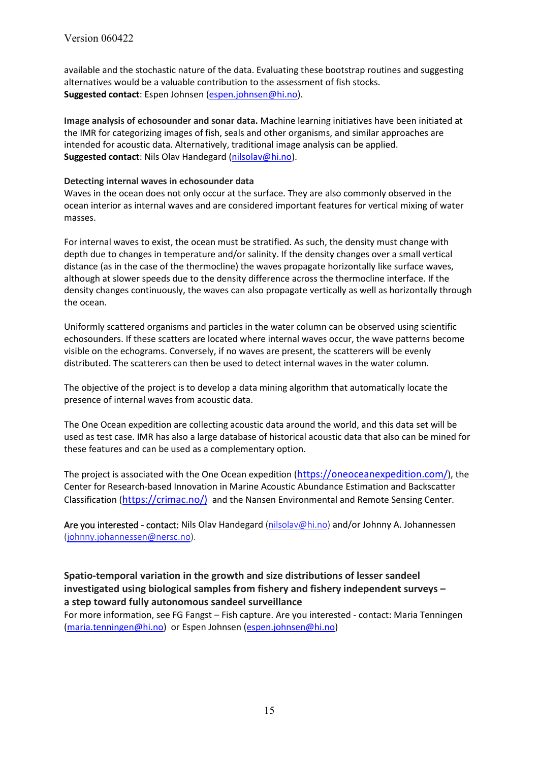available and the stochastic nature of the data. Evaluating these bootstrap routines and suggesting alternatives would be a valuable contribution to the assessment of fish stocks. **Suggested contact**: Espen Johnsen [\(espen.johnsen@hi.no\)](mailto:espen.johnsen@hi.no).

**Image analysis of echosounder and sonar data.** Machine learning initiatives have been initiated at the IMR for categorizing images of fish, seals and other organisms, and similar approaches are intended for acoustic data. Alternatively, traditional image analysis can be applied. **Suggested contact**: Nils Olav Handegard [\(nilsolav@hi.no\)](mailto:nilsolav@hi.no).

#### **Detecting internal waves in echosounder data**

Waves in the ocean does not only occur at the surface. They are also commonly observed in the ocean interior as internal waves and are considered important features for vertical mixing of water masses.

For internal waves to exist, the ocean must be stratified. As such, the density must change with depth due to changes in temperature and/or salinity. If the density changes over a small vertical distance (as in the case of the thermocline) the waves propagate horizontally like surface waves, although at slower speeds due to the density difference across the thermocline interface. If the density changes continuously, the waves can also propagate vertically as well as horizontally through the ocean.

Uniformly scattered organisms and particles in the water column can be observed using scientific echosounders. If these scatters are located where internal waves occur, the wave patterns become visible on the echograms. Conversely, if no waves are present, the scatterers will be evenly distributed. The scatterers can then be used to detect internal waves in the water column.

The objective of the project is to develop a data mining algorithm that automatically locate the presence of internal waves from acoustic data.

The One Ocean expedition are collecting acoustic data around the world, and this data set will be used as test case. IMR has also a large database of historical acoustic data that also can be mined for these features and can be used as a complementary option.

The project is associated with the One Ocean expedition [\(https://oneoceanexpedition.com/\)](https://oneoceanexpedition.com/), the Center for Research-based Innovation in Marine Acoustic Abundance Estimation and Backscatter Classification [\(https://crimac.no/\)](https://crimac.no/)) and the Nansen Environmental and Remote Sensing Center.

Are you interested - contact: Nils Olav Handegard [\(nilsolav@hi.no\)](mailto:nilsolav@hi.no) and/or Johnny A. Johannessen [\(johnny.johannessen@nersc.no\)](mailto:johnny.johannessen@nersc.no).

### **Spatio-temporal variation in the growth and size distributions of lesser sandeel investigated using biological samples from fishery and fishery independent surveys – a step toward fully autonomous sandeel surveillance**

For more information, see FG Fangst – Fish capture. Are you interested - contact: Maria Tenningen [\(maria.tenningen@hi.no\)](mailto:maria.tenningen@hi.no) or Espen Johnsen [\(espen.johnsen@hi.no\)](mailto:espen.johnsen@hi.no)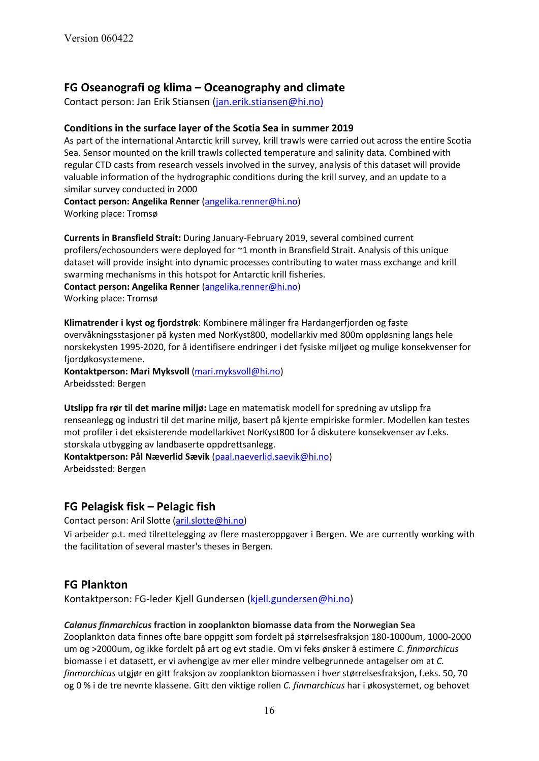# **FG Oseanografi og klima – Oceanography and climate**

Contact person: Jan Erik Stiansen (jan.erik.stiansen@hi.no)

#### **Conditions in the surface layer of the Scotia Sea in summer 2019**

As part of the international Antarctic krill survey, krill trawls were carried out across the entire Scotia Sea. Sensor mounted on the krill trawls collected temperature and salinity data. Combined with regular CTD casts from research vessels involved in the survey, analysis of this dataset will provide valuable information of the hydrographic conditions during the krill survey, and an update to a similar survey conducted in 2000

**Contact person: Angelika Renner** [\(angelika.renner@hi.no\)](mailto:angelika.renner@hi.no) Working place: Tromsø

**Currents in Bransfield Strait:** During January-February 2019, several combined current profilers/echosounders were deployed for ~1 month in Bransfield Strait. Analysis of this unique dataset will provide insight into dynamic processes contributing to water mass exchange and krill swarming mechanisms in this hotspot for Antarctic krill fisheries.

**Contact person: Angelika Renner** [\(angelika.renner@hi.no\)](mailto:angelika.renner@hi.no) Working place: Tromsø

**Klimatrender i kyst og fjordstrøk**: Kombinere målinger fra Hardangerfjorden og faste overvåkningsstasjoner på kysten med NorKyst800, modellarkiv med 800m oppløsning langs hele norskekysten 1995-2020, for å identifisere endringer i det fysiske miljøet og mulige konsekvenser for fjordøkosystemene.

**Kontaktperson: Mari Myksvoll** [\(mari.myksvoll@hi.no\)](mailto:mari.myksvoll@hi.no) Arbeidssted: Bergen

**Utslipp fra rør til det marine miljø:** Lage en matematisk modell for spredning av utslipp fra renseanlegg og industri til det marine miljø, basert på kjente empiriske formler. Modellen kan testes mot profiler i det eksisterende modellarkivet NorKyst800 for å diskutere konsekvenser av f.eks. storskala utbygging av landbaserte oppdrettsanlegg.

**Kontaktperson: Pål Næverlid Sævik** [\(paal.naeverlid.saevik@hi.no\)](mailto:paal.naeverlid.saevik@hi.no) Arbeidssted: Bergen

## **FG Pelagisk fisk – Pelagic fish**

Contact person: Aril Slotte [\(aril.slotte@hi.no\)](mailto:aril.slotte@hi.no)

Vi arbeider p.t. med tilrettelegging av flere masteroppgaver i Bergen. We are currently working with the facilitation of several master's theses in Bergen.

## **FG Plankton**

Kontaktperson: FG-leder Kjell Gundersen [\(kjell.gundersen@hi.no\)](mailto:kjell.gundersen@hi.no)

#### *Calanus finmarchicus* **fraction in zooplankton biomasse data from the Norwegian Sea**

Zooplankton data finnes ofte bare oppgitt som fordelt på størrelsesfraksjon 180-1000um, 1000-2000 um og >2000um, og ikke fordelt på art og evt stadie. Om vi feks ønsker å estimere *C. finmarchicus* biomasse i et datasett, er vi avhengige av mer eller mindre velbegrunnede antagelser om at *C. finmarchicus* utgjør en gitt fraksjon av zooplankton biomassen i hver størrelsesfraksjon, f.eks. 50, 70 og 0 % i de tre nevnte klassene. Gitt den viktige rollen *C. finmarchicus* har i økosystemet, og behovet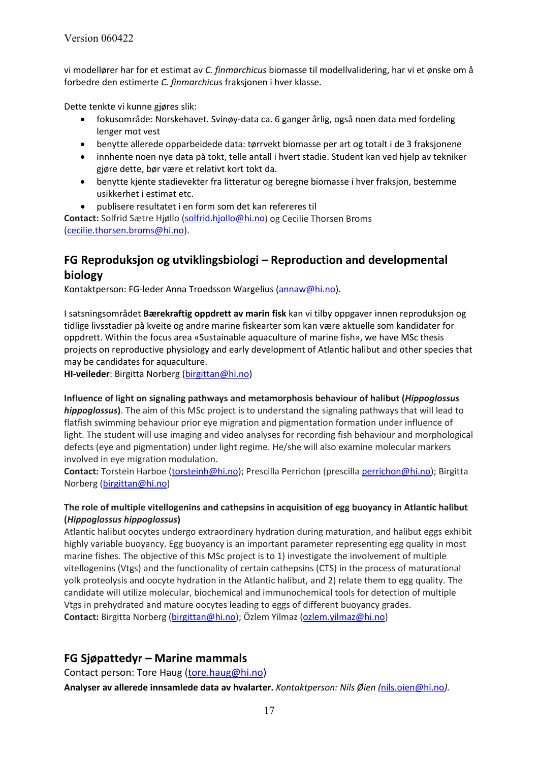vi modellører har for et estimat av *C. finmarchicus* biomasse til modellvalidering, har vi et ønske om å forbedre den estimerte *C. finmarchicus* fraksjonen i hver klasse.

Dette tenkte vi kunne gjøres slik:

- fokusområde: Norskehavet. Svinøy-data ca. 6 ganger årlig, også noen data med fordeling lenger mot vest
- benytte allerede opparbeidede data: tørrvekt biomasse per art og totalt i de 3 fraksjonene
- innhente noen nye data på tokt, telle antall i hvert stadie. Student kan ved hjelp av tekniker gjøre dette, bør være et relativt kort tokt da.
- benytte kjente stadievekter fra litteratur og beregne biomasse i hver fraksjon, bestemme usikkerhet i estimat etc.
- publisere resultatet i en form som det kan refereres til

**Contact:** Solfrid Sætre Hjøllo [\(solfrid.hjollo@hi.no\)](mailto:solfrid.hjollo@hi.no) og Cecilie Thorsen Broms [\(cecilie.thorsen.broms@hi.no\)](mailto:cecilie.thorsen.broms@hi.no).

# **FG Reproduksjon og utviklingsbiologi – Reproduction and developmental biology**

Kontaktperson: FG-leder Anna Troedsson Wargelius [\(annaw@hi.no\)](mailto:annaw@hi.no).

I satsningsområdet **Bærekraftig oppdrett av marin fisk** kan vi tilby oppgaver innen reproduksjon og tidlige livsstadier på kveite og andre marine fiskearter som kan være aktuelle som kandidater for oppdrett. Within the focus area «Sustainable aquaculture of marine fish», we have MSc thesis projects on reproductive physiology and early development of Atlantic halibut and other species that may be candidates for aquaculture.

**HI-veileder**: Birgitta Norberg [\(birgittan@hi.no\)](mailto:birgittan@hi.no)

**Influence of light on signaling pathways and metamorphosis behaviour of halibut (***Hippoglossus hippoglossus***)**. The aim of this MSc project is to understand the signaling pathways that will lead to flatfish swimming behaviour prior eye migration and pigmentation formation under influence of light. The student will use imaging and video analyses for recording fish behaviour and morphological defects (eye and pigmentation) under light regime. He/she will also examine molecular markers involved in eye migration modulation.

**Contact:** Torstein Harboe [\(torsteinh@hi.no\)](mailto:torsteinh@hi.no); Prescilla Perrichon (prescill[a perrichon@hi.no\)](mailto:perrichon@hi.no); Birgitta Norberg [\(birgittan@hi.no\)](mailto:birgittan@hi.no)

### **The role of multiple vitellogenins and cathepsins in acquisition of egg buoyancy in Atlantic halibut (***Hippoglossus hippoglossus***)**

Atlantic halibut oocytes undergo extraordinary hydration during maturation, and halibut eggs exhibit highly variable buoyancy. Egg buoyancy is an important parameter representing egg quality in most marine fishes. The objective of this MSc project is to 1) investigate the involvement of multiple vitellogenins (Vtgs) and the functionality of certain cathepsins (CTS) in the process of maturational yolk proteolysis and oocyte hydration in the Atlantic halibut, and 2) relate them to egg quality. The candidate will utilize molecular, biochemical and immunochemical tools for detection of multiple Vtgs in prehydrated and mature oocytes leading to eggs of different buoyancy grades. Contact: Birgitta Norberg [\(birgittan@hi.no\)](mailto:birgittan@hi.no); Özlem Yilmaz [\(ozlem.yilmaz@hi.no\)](mailto:ozlem.yilmaz@hi.no)

## **FG Sjøpattedyr – Marine mammals**

Contact person: Tore Haug [\(tore.haug@hi.no\)](mailto:tore.haug@hi.no)

**Analyser av allerede innsamlede data av hvalarter.** *Kontaktperson: Nils Øien (*[nils.oien@hi.no](mailto:nils.oien@hi.no)*).*